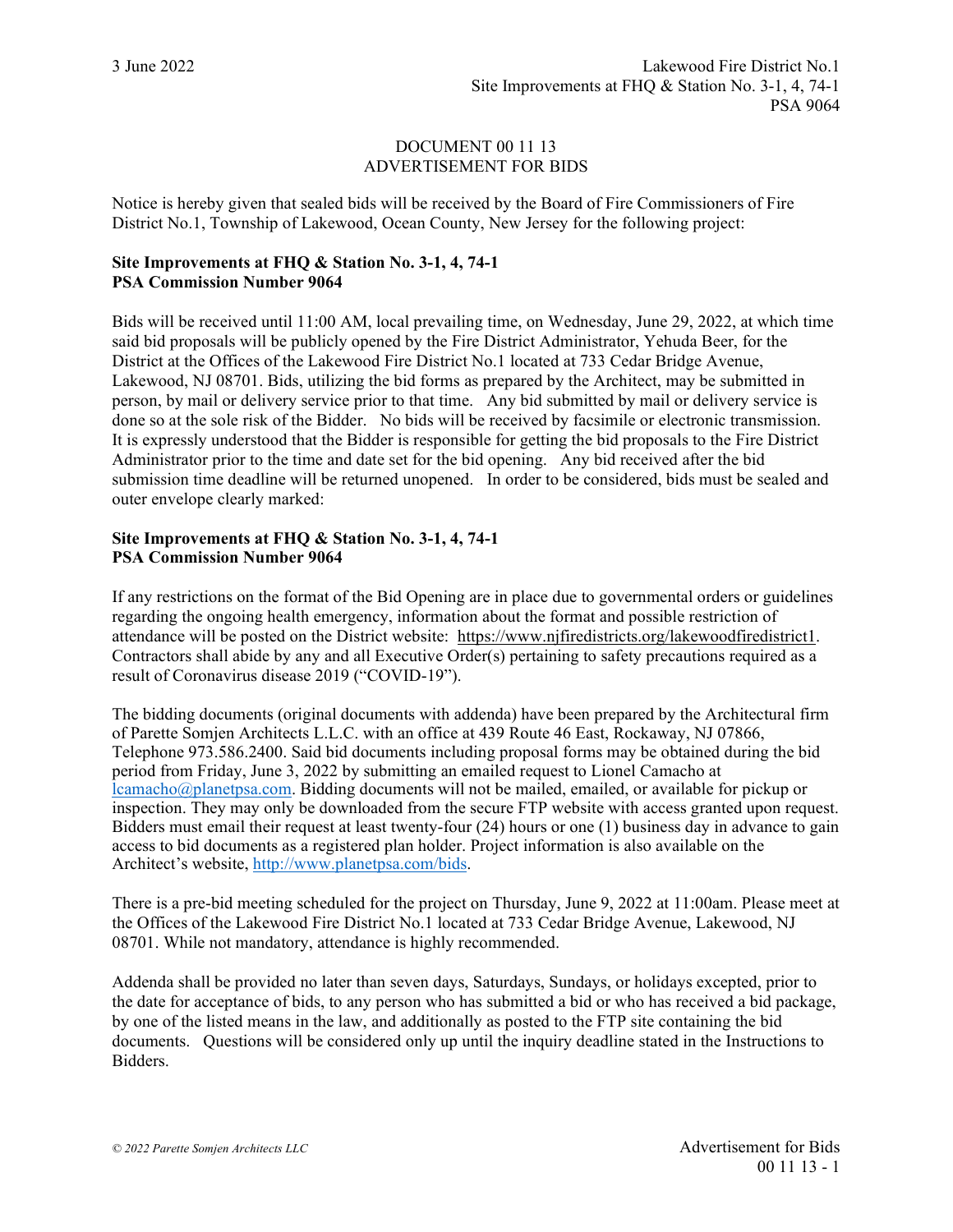## DOCUMENT 00 11 13 ADVERTISEMENT FOR BIDS

Notice is hereby given that sealed bids will be received by the Board of Fire Commissioners of Fire District No.1, Township of Lakewood, Ocean County, New Jersey for the following project:

## **Site Improvements at FHQ & Station No. 3-1, 4, 74-1 PSA Commission Number 9064**

Bids will be received until 11:00 AM, local prevailing time, on Wednesday, June 29, 2022, at which time said bid proposals will be publicly opened by the Fire District Administrator, Yehuda Beer, for the District at the Offices of the Lakewood Fire District No.1 located at 733 Cedar Bridge Avenue, Lakewood, NJ 08701. Bids, utilizing the bid forms as prepared by the Architect, may be submitted in person, by mail or delivery service prior to that time. Any bid submitted by mail or delivery service is done so at the sole risk of the Bidder. No bids will be received by facsimile or electronic transmission. It is expressly understood that the Bidder is responsible for getting the bid proposals to the Fire District Administrator prior to the time and date set for the bid opening. Any bid received after the bid submission time deadline will be returned unopened. In order to be considered, bids must be sealed and outer envelope clearly marked:

## **Site Improvements at FHQ & Station No. 3-1, 4, 74-1 PSA Commission Number 9064**

If any restrictions on the format of the Bid Opening are in place due to governmental orders or guidelines regarding the ongoing health emergency, information about the format and possible restriction of attendance will be posted on the District website: https://www.njfiredistricts.org/lakewoodfiredistrict1. Contractors shall abide by any and all Executive Order(s) pertaining to safety precautions required as a result of Coronavirus disease 2019 ("COVID-19").

The bidding documents (original documents with addenda) have been prepared by the Architectural firm of Parette Somjen Architects L.L.C. with an office at 439 Route 46 East, Rockaway, NJ 07866, Telephone 973.586.2400. Said bid documents including proposal forms may be obtained during the bid period from Friday, June 3, 2022 by submitting an emailed request to Lionel Camacho at [lcamacho@planetpsa.com.](mailto:lcamacho@planetpsa.com) Bidding documents will not be mailed, emailed, or available for pickup or inspection. They may only be downloaded from the secure FTP website with access granted upon request. Bidders must email their request at least twenty-four (24) hours or one (1) business day in advance to gain access to bid documents as a registered plan holder. Project information is also available on the Architect's website, [http://www.planetpsa.com/bids.](http://www.planetpsa.com/bids)

There is a pre-bid meeting scheduled for the project on Thursday, June 9, 2022 at 11:00am. Please meet at the Offices of the Lakewood Fire District No.1 located at 733 Cedar Bridge Avenue, Lakewood, NJ 08701. While not mandatory, attendance is highly recommended.

Addenda shall be provided no later than seven days, Saturdays, Sundays, or holidays excepted, prior to the date for acceptance of bids, to any person who has submitted a bid or who has received a bid package, by one of the listed means in the law, and additionally as posted to the FTP site containing the bid documents. Questions will be considered only up until the inquiry deadline stated in the Instructions to Bidders.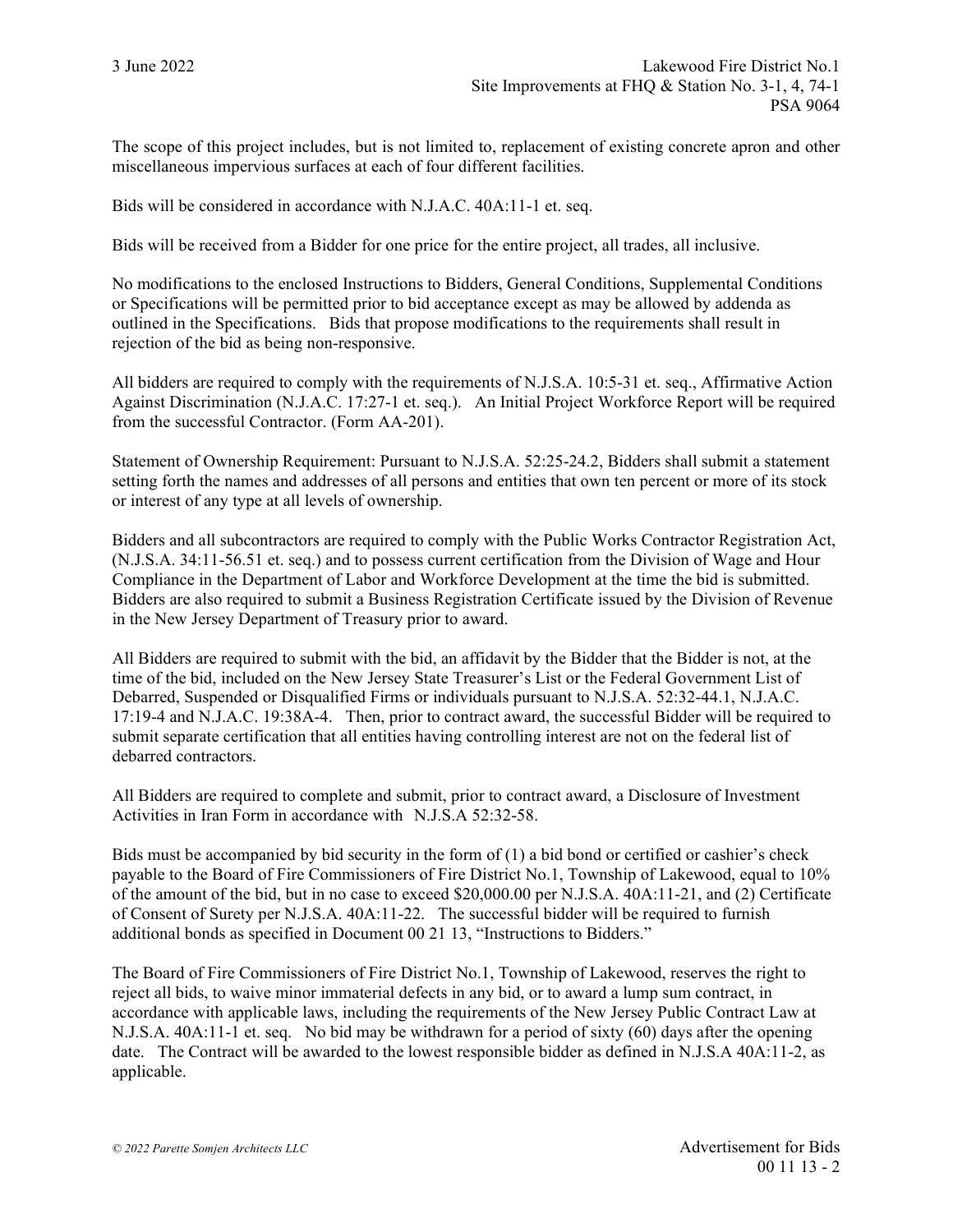The scope of this project includes, but is not limited to, replacement of existing concrete apron and other miscellaneous impervious surfaces at each of four different facilities.

Bids will be considered in accordance with N.J.A.C. 40A:11-1 et. seq.

Bids will be received from a Bidder for one price for the entire project, all trades, all inclusive.

No modifications to the enclosed Instructions to Bidders, General Conditions, Supplemental Conditions or Specifications will be permitted prior to bid acceptance except as may be allowed by addenda as outlined in the Specifications. Bids that propose modifications to the requirements shall result in rejection of the bid as being non-responsive.

All bidders are required to comply with the requirements of N.J.S.A. 10:5-31 et. seq., Affirmative Action Against Discrimination (N.J.A.C. 17:27-1 et. seq.). An Initial Project Workforce Report will be required from the successful Contractor. (Form AA-201).

Statement of Ownership Requirement: Pursuant to N.J.S.A. 52:25-24.2, Bidders shall submit a statement setting forth the names and addresses of all persons and entities that own ten percent or more of its stock or interest of any type at all levels of ownership.

Bidders and all subcontractors are required to comply with the Public Works Contractor Registration Act, (N.J.S.A. 34:11-56.51 et. seq.) and to possess current certification from the Division of Wage and Hour Compliance in the Department of Labor and Workforce Development at the time the bid is submitted. Bidders are also required to submit a Business Registration Certificate issued by the Division of Revenue in the New Jersey Department of Treasury prior to award.

All Bidders are required to submit with the bid, an affidavit by the Bidder that the Bidder is not, at the time of the bid, included on the New Jersey State Treasurer's List or the Federal Government List of Debarred, Suspended or Disqualified Firms or individuals pursuant to N.J.S.A. 52:32-44.1, N.J.A.C. 17:19-4 and N.J.A.C. 19:38A-4. Then, prior to contract award, the successful Bidder will be required to submit separate certification that all entities having controlling interest are not on the federal list of debarred contractors.

All Bidders are required to complete and submit, prior to contract award, a Disclosure of Investment Activities in Iran Form in accordance with N.J.S.A 52:32-58.

Bids must be accompanied by bid security in the form of (1) a bid bond or certified or cashier's check payable to the Board of Fire Commissioners of Fire District No.1, Township of Lakewood, equal to 10% of the amount of the bid, but in no case to exceed \$20,000.00 per N.J.S.A. 40A:11-21, and (2) Certificate of Consent of Surety per N.J.S.A. 40A:11-22. The successful bidder will be required to furnish additional bonds as specified in Document 00 21 13, "Instructions to Bidders."

The Board of Fire Commissioners of Fire District No.1, Township of Lakewood, reserves the right to reject all bids, to waive minor immaterial defects in any bid, or to award a lump sum contract, in accordance with applicable laws, including the requirements of the New Jersey Public Contract Law at N.J.S.A. 40A:11-1 et. seq. No bid may be withdrawn for a period of sixty (60) days after the opening date. The Contract will be awarded to the lowest responsible bidder as defined in N.J.S.A 40A:11-2, as applicable.